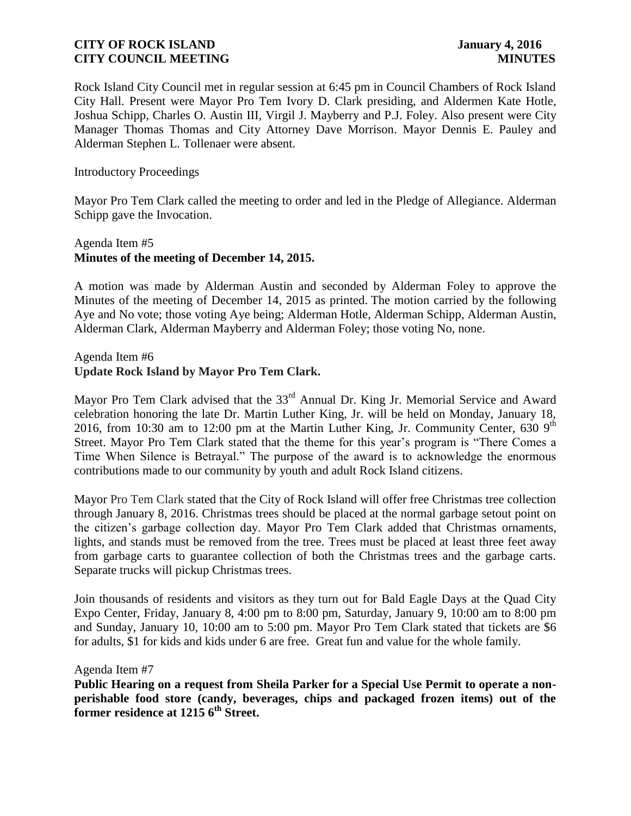Rock Island City Council met in regular session at 6:45 pm in Council Chambers of Rock Island City Hall. Present were Mayor Pro Tem Ivory D. Clark presiding, and Aldermen Kate Hotle, Joshua Schipp, Charles O. Austin III, Virgil J. Mayberry and P.J. Foley. Also present were City Manager Thomas Thomas and City Attorney Dave Morrison. Mayor Dennis E. Pauley and Alderman Stephen L. Tollenaer were absent.

#### Introductory Proceedings

Mayor Pro Tem Clark called the meeting to order and led in the Pledge of Allegiance. Alderman Schipp gave the Invocation.

## Agenda Item #5 **Minutes of the meeting of December 14, 2015.**

A motion was made by Alderman Austin and seconded by Alderman Foley to approve the Minutes of the meeting of December 14, 2015 as printed. The motion carried by the following Aye and No vote; those voting Aye being; Alderman Hotle, Alderman Schipp, Alderman Austin, Alderman Clark, Alderman Mayberry and Alderman Foley; those voting No, none.

#### Agenda Item #6 **Update Rock Island by Mayor Pro Tem Clark.**

Mayor Pro Tem Clark advised that the 33<sup>rd</sup> Annual Dr. King Jr. Memorial Service and Award celebration honoring the late Dr. Martin Luther King, Jr. will be held on Monday, January 18, 2016, from 10:30 am to 12:00 pm at the Martin Luther King, Jr. Community Center, 630  $9<sup>th</sup>$ Street. Mayor Pro Tem Clark stated that the theme for this year's program is "There Comes a Time When Silence is Betrayal." The purpose of the award is to acknowledge the enormous contributions made to our community by youth and adult Rock Island citizens.

Mayor Pro Tem Clark stated that the City of Rock Island will offer free Christmas tree collection through January 8, 2016. Christmas trees should be placed at the normal garbage setout point on the citizen's garbage collection day. Mayor Pro Tem Clark added that Christmas ornaments, lights, and stands must be removed from the tree. Trees must be placed at least three feet away from garbage carts to guarantee collection of both the Christmas trees and the garbage carts. Separate trucks will pickup Christmas trees.

Join thousands of residents and visitors as they turn out for Bald Eagle Days at the Quad City Expo Center, Friday, January 8, 4:00 pm to 8:00 pm, Saturday, January 9, 10:00 am to 8:00 pm and Sunday, January 10, 10:00 am to 5:00 pm. Mayor Pro Tem Clark stated that tickets are \$6 for adults, \$1 for kids and kids under 6 are free. Great fun and value for the whole family.

#### Agenda Item #7

**Public Hearing on a request from Sheila Parker for a Special Use Permit to operate a nonperishable food store (candy, beverages, chips and packaged frozen items) out of the former residence at 1215 6th Street.**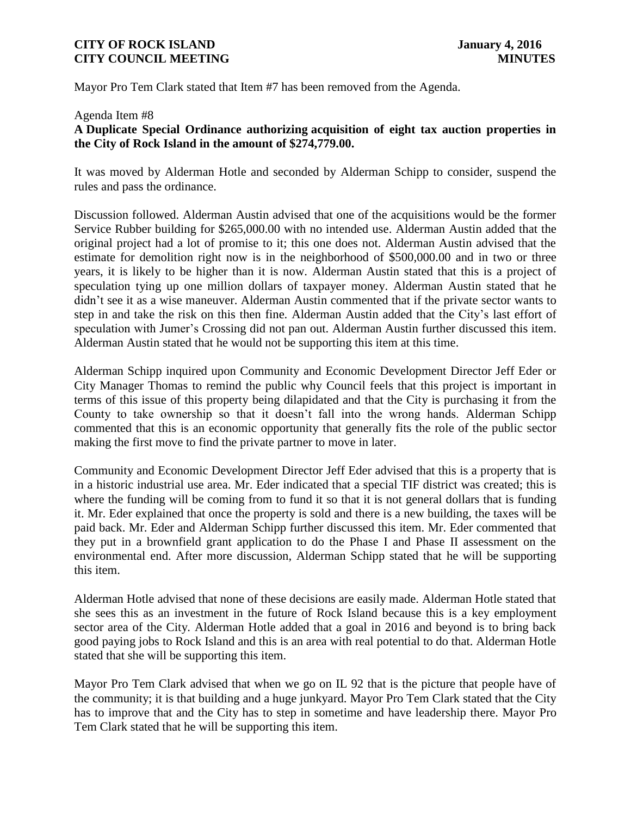Mayor Pro Tem Clark stated that Item #7 has been removed from the Agenda.

#### Agenda Item #8

### **A Duplicate Special Ordinance authorizing acquisition of eight tax auction properties in the City of Rock Island in the amount of \$274,779.00.**

It was moved by Alderman Hotle and seconded by Alderman Schipp to consider, suspend the rules and pass the ordinance.

Discussion followed. Alderman Austin advised that one of the acquisitions would be the former Service Rubber building for \$265,000.00 with no intended use. Alderman Austin added that the original project had a lot of promise to it; this one does not. Alderman Austin advised that the estimate for demolition right now is in the neighborhood of \$500,000.00 and in two or three years, it is likely to be higher than it is now. Alderman Austin stated that this is a project of speculation tying up one million dollars of taxpayer money. Alderman Austin stated that he didn't see it as a wise maneuver. Alderman Austin commented that if the private sector wants to step in and take the risk on this then fine. Alderman Austin added that the City's last effort of speculation with Jumer's Crossing did not pan out. Alderman Austin further discussed this item. Alderman Austin stated that he would not be supporting this item at this time.

Alderman Schipp inquired upon Community and Economic Development Director Jeff Eder or City Manager Thomas to remind the public why Council feels that this project is important in terms of this issue of this property being dilapidated and that the City is purchasing it from the County to take ownership so that it doesn't fall into the wrong hands. Alderman Schipp commented that this is an economic opportunity that generally fits the role of the public sector making the first move to find the private partner to move in later.

Community and Economic Development Director Jeff Eder advised that this is a property that is in a historic industrial use area. Mr. Eder indicated that a special TIF district was created; this is where the funding will be coming from to fund it so that it is not general dollars that is funding it. Mr. Eder explained that once the property is sold and there is a new building, the taxes will be paid back. Mr. Eder and Alderman Schipp further discussed this item. Mr. Eder commented that they put in a brownfield grant application to do the Phase I and Phase II assessment on the environmental end. After more discussion, Alderman Schipp stated that he will be supporting this item.

Alderman Hotle advised that none of these decisions are easily made. Alderman Hotle stated that she sees this as an investment in the future of Rock Island because this is a key employment sector area of the City. Alderman Hotle added that a goal in 2016 and beyond is to bring back good paying jobs to Rock Island and this is an area with real potential to do that. Alderman Hotle stated that she will be supporting this item.

Mayor Pro Tem Clark advised that when we go on IL 92 that is the picture that people have of the community; it is that building and a huge junkyard. Mayor Pro Tem Clark stated that the City has to improve that and the City has to step in sometime and have leadership there. Mayor Pro Tem Clark stated that he will be supporting this item.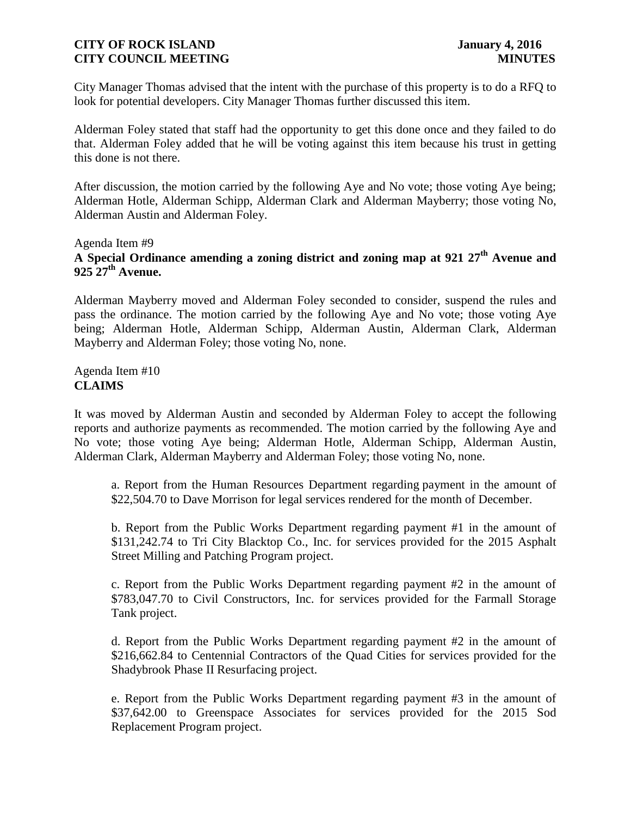City Manager Thomas advised that the intent with the purchase of this property is to do a RFQ to look for potential developers. City Manager Thomas further discussed this item.

Alderman Foley stated that staff had the opportunity to get this done once and they failed to do that. Alderman Foley added that he will be voting against this item because his trust in getting this done is not there.

After discussion, the motion carried by the following Aye and No vote; those voting Aye being; Alderman Hotle, Alderman Schipp, Alderman Clark and Alderman Mayberry; those voting No, Alderman Austin and Alderman Foley.

Agenda Item #9

# **A Special Ordinance amending a zoning district and zoning map at 921 27th Avenue and 925 27th Avenue.**

Alderman Mayberry moved and Alderman Foley seconded to consider, suspend the rules and pass the ordinance. The motion carried by the following Aye and No vote; those voting Aye being; Alderman Hotle, Alderman Schipp, Alderman Austin, Alderman Clark, Alderman Mayberry and Alderman Foley; those voting No, none.

Agenda Item #10 **CLAIMS**

It was moved by Alderman Austin and seconded by Alderman Foley to accept the following reports and authorize payments as recommended. The motion carried by the following Aye and No vote; those voting Aye being; Alderman Hotle, Alderman Schipp, Alderman Austin, Alderman Clark, Alderman Mayberry and Alderman Foley; those voting No, none.

a. Report from the Human Resources Department regarding payment in the amount of \$22,504.70 to Dave Morrison for legal services rendered for the month of December.

b. Report from the Public Works Department regarding payment #1 in the amount of \$131,242.74 to Tri City Blacktop Co., Inc. for services provided for the 2015 Asphalt Street Milling and Patching Program project.

c. Report from the Public Works Department regarding payment #2 in the amount of \$783,047.70 to Civil Constructors, Inc. for services provided for the Farmall Storage Tank project.

d. Report from the Public Works Department regarding payment #2 in the amount of \$216,662.84 to Centennial Contractors of the Quad Cities for services provided for the Shadybrook Phase II Resurfacing project.

e. Report from the Public Works Department regarding payment #3 in the amount of \$37,642.00 to Greenspace Associates for services provided for the 2015 Sod Replacement Program project.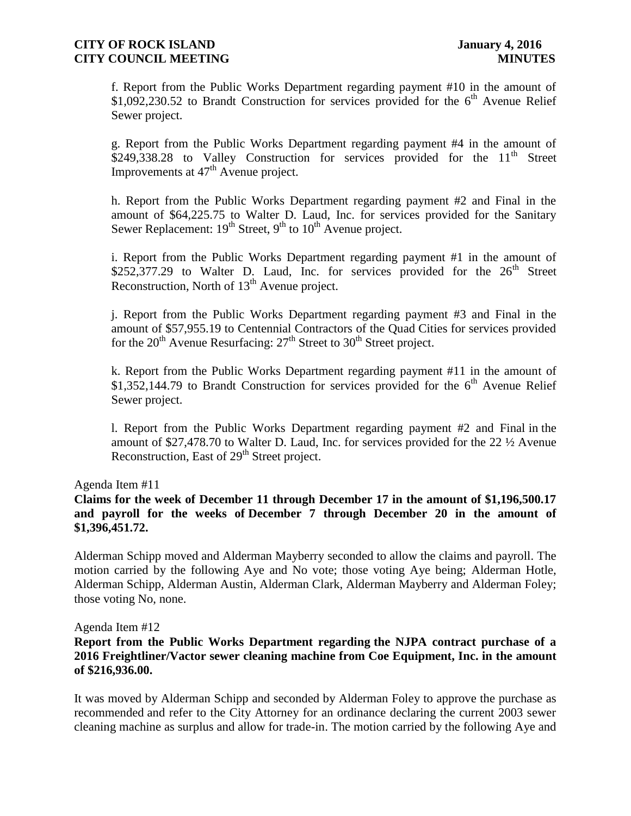f. Report from the Public Works Department regarding payment #10 in the amount of  $$1,092,230.52$  to Brandt Construction for services provided for the 6<sup>th</sup> Avenue Relief Sewer project.

g. Report from the Public Works Department regarding payment #4 in the amount of \$249,338.28 to Valley Construction for services provided for the  $11<sup>th</sup>$  Street Improvements at  $47<sup>th</sup>$  Avenue project.

h. Report from the Public Works Department regarding payment #2 and Final in the amount of \$64,225.75 to Walter D. Laud, Inc. for services provided for the Sanitary Sewer Replacement:  $19<sup>th</sup>$  Street,  $9<sup>th</sup>$  to  $10<sup>th</sup>$  Avenue project.

i. Report from the Public Works Department regarding payment #1 in the amount of \$252,377.29 to Walter D. Laud, Inc. for services provided for the  $26<sup>th</sup>$  Street Reconstruction, North of  $13<sup>th</sup>$  Avenue project.

j. Report from the Public Works Department regarding payment #3 and Final in the amount of \$57,955.19 to Centennial Contractors of the Quad Cities for services provided for the  $20<sup>th</sup>$  Avenue Resurfacing:  $27<sup>th</sup>$  Street to  $30<sup>th</sup>$  Street project.

k. Report from the Public Works Department regarding payment #11 in the amount of \$1,352,144.79 to Brandt Construction for services provided for the  $6<sup>th</sup>$  Avenue Relief Sewer project.

l. Report from the Public Works Department regarding payment #2 and Final in the amount of \$27,478.70 to Walter D. Laud, Inc. for services provided for the 22 ½ Avenue Reconstruction, East of 29<sup>th</sup> Street project.

Agenda Item #11

### **Claims for the week of December 11 through December 17 in the amount of \$1,196,500.17 and payroll for the weeks of December 7 through December 20 in the amount of \$1,396,451.72.**

Alderman Schipp moved and Alderman Mayberry seconded to allow the claims and payroll. The motion carried by the following Aye and No vote; those voting Aye being; Alderman Hotle, Alderman Schipp, Alderman Austin, Alderman Clark, Alderman Mayberry and Alderman Foley; those voting No, none.

#### Agenda Item #12

### **Report from the Public Works Department regarding the NJPA contract purchase of a 2016 Freightliner/Vactor sewer cleaning machine from Coe Equipment, Inc. in the amount of \$216,936.00.**

It was moved by Alderman Schipp and seconded by Alderman Foley to approve the purchase as recommended and refer to the City Attorney for an ordinance declaring the current 2003 sewer cleaning machine as surplus and allow for trade-in. The motion carried by the following Aye and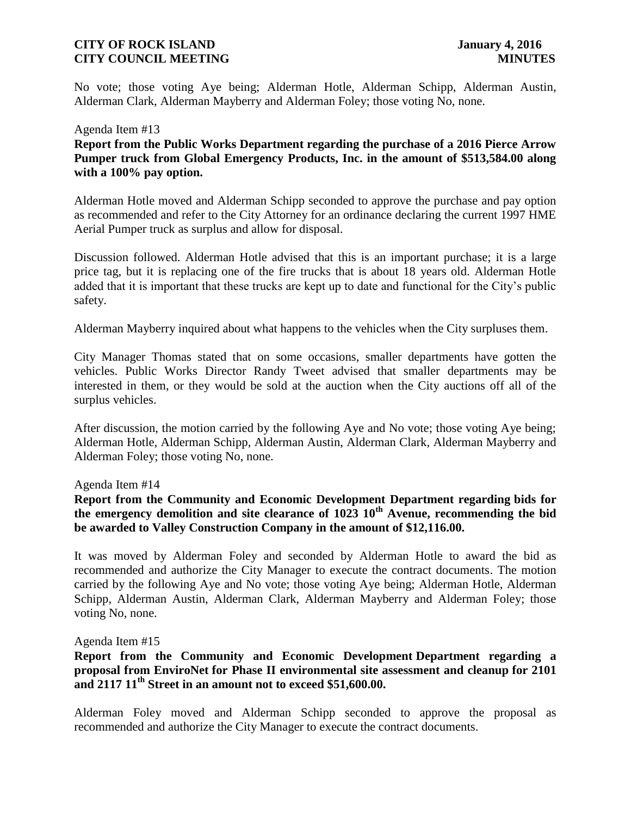No vote; those voting Aye being; Alderman Hotle, Alderman Schipp, Alderman Austin, Alderman Clark, Alderman Mayberry and Alderman Foley; those voting No, none.

#### Agenda Item #13

**Report from the Public Works Department regarding the purchase of a 2016 Pierce Arrow Pumper truck from Global Emergency Products, Inc. in the amount of \$513,584.00 along with a 100% pay option.**

Alderman Hotle moved and Alderman Schipp seconded to approve the purchase and pay option as recommended and refer to the City Attorney for an ordinance declaring the current 1997 HME Aerial Pumper truck as surplus and allow for disposal.

Discussion followed. Alderman Hotle advised that this is an important purchase; it is a large price tag, but it is replacing one of the fire trucks that is about 18 years old. Alderman Hotle added that it is important that these trucks are kept up to date and functional for the City's public safety.

Alderman Mayberry inquired about what happens to the vehicles when the City surpluses them.

City Manager Thomas stated that on some occasions, smaller departments have gotten the vehicles. Public Works Director Randy Tweet advised that smaller departments may be interested in them, or they would be sold at the auction when the City auctions off all of the surplus vehicles.

After discussion, the motion carried by the following Aye and No vote; those voting Aye being; Alderman Hotle, Alderman Schipp, Alderman Austin, Alderman Clark, Alderman Mayberry and Alderman Foley; those voting No, none.

#### Agenda Item #14

## **Report from the Community and Economic Development Department regarding bids for the emergency demolition and site clearance of 1023 10th Avenue, recommending the bid be awarded to Valley Construction Company in the amount of \$12,116.00.**

It was moved by Alderman Foley and seconded by Alderman Hotle to award the bid as recommended and authorize the City Manager to execute the contract documents. The motion carried by the following Aye and No vote; those voting Aye being; Alderman Hotle, Alderman Schipp, Alderman Austin, Alderman Clark, Alderman Mayberry and Alderman Foley; those voting No, none.

#### Agenda Item #15

## **Report from the Community and Economic Development Department regarding a proposal from EnviroNet for Phase II environmental site assessment and cleanup for 2101 and 2117 11th Street in an amount not to exceed \$51,600.00.**

Alderman Foley moved and Alderman Schipp seconded to approve the proposal as recommended and authorize the City Manager to execute the contract documents.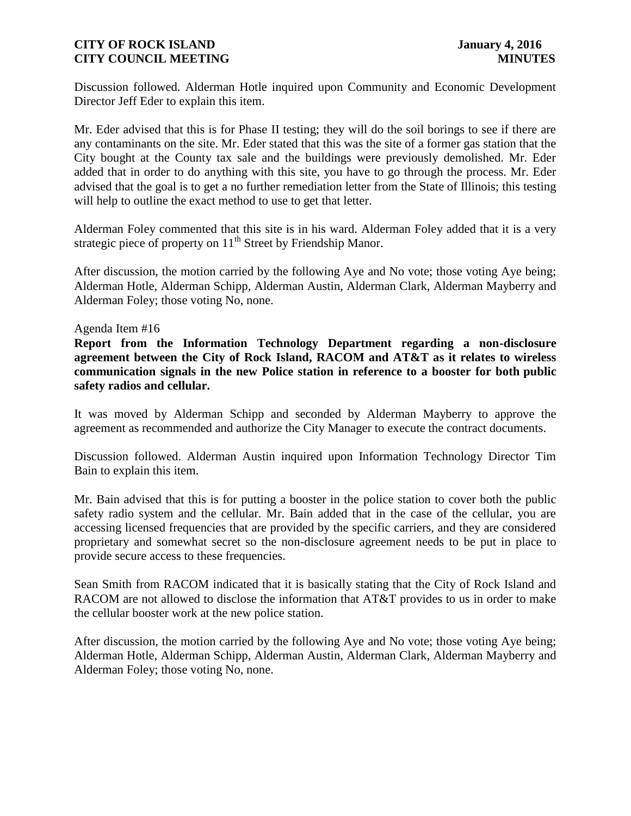Discussion followed. Alderman Hotle inquired upon Community and Economic Development Director Jeff Eder to explain this item.

Mr. Eder advised that this is for Phase II testing; they will do the soil borings to see if there are any contaminants on the site. Mr. Eder stated that this was the site of a former gas station that the City bought at the County tax sale and the buildings were previously demolished. Mr. Eder added that in order to do anything with this site, you have to go through the process. Mr. Eder advised that the goal is to get a no further remediation letter from the State of Illinois; this testing will help to outline the exact method to use to get that letter.

Alderman Foley commented that this site is in his ward. Alderman Foley added that it is a very strategic piece of property on  $11<sup>th</sup>$  Street by Friendship Manor.

After discussion, the motion carried by the following Aye and No vote; those voting Aye being; Alderman Hotle, Alderman Schipp, Alderman Austin, Alderman Clark, Alderman Mayberry and Alderman Foley; those voting No, none.

#### Agenda Item #16

**Report from the Information Technology Department regarding a non-disclosure agreement between the City of Rock Island, RACOM and AT&T as it relates to wireless communication signals in the new Police station in reference to a booster for both public safety radios and cellular.**

It was moved by Alderman Schipp and seconded by Alderman Mayberry to approve the agreement as recommended and authorize the City Manager to execute the contract documents.

Discussion followed. Alderman Austin inquired upon Information Technology Director Tim Bain to explain this item.

Mr. Bain advised that this is for putting a booster in the police station to cover both the public safety radio system and the cellular. Mr. Bain added that in the case of the cellular, you are accessing licensed frequencies that are provided by the specific carriers, and they are considered proprietary and somewhat secret so the non-disclosure agreement needs to be put in place to provide secure access to these frequencies.

Sean Smith from RACOM indicated that it is basically stating that the City of Rock Island and RACOM are not allowed to disclose the information that AT&T provides to us in order to make the cellular booster work at the new police station.

After discussion, the motion carried by the following Aye and No vote; those voting Aye being; Alderman Hotle, Alderman Schipp, Alderman Austin, Alderman Clark, Alderman Mayberry and Alderman Foley; those voting No, none.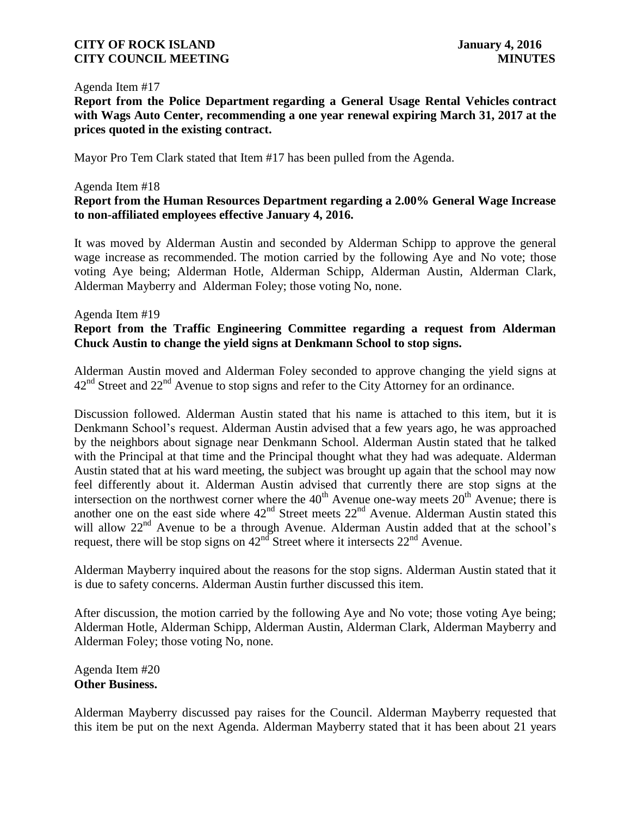#### Agenda Item #17

**Report from the Police Department regarding a General Usage Rental Vehicles contract with Wags Auto Center, recommending a one year renewal expiring March 31, 2017 at the prices quoted in the existing contract.**

Mayor Pro Tem Clark stated that Item #17 has been pulled from the Agenda.

#### Agenda Item #18

## **Report from the Human Resources Department regarding a 2.00% General Wage Increase to non-affiliated employees effective January 4, 2016.**

It was moved by Alderman Austin and seconded by Alderman Schipp to approve the general wage increase as recommended. The motion carried by the following Aye and No vote; those voting Aye being; Alderman Hotle, Alderman Schipp, Alderman Austin, Alderman Clark, Alderman Mayberry and Alderman Foley; those voting No, none.

#### Agenda Item #19

### **Report from the Traffic Engineering Committee regarding a request from Alderman Chuck Austin to change the yield signs at Denkmann School to stop signs.**

Alderman Austin moved and Alderman Foley seconded to approve changing the yield signs at  $42<sup>nd</sup>$  Street and  $22<sup>nd</sup>$  Avenue to stop signs and refer to the City Attorney for an ordinance.

Discussion followed. Alderman Austin stated that his name is attached to this item, but it is Denkmann School's request. Alderman Austin advised that a few years ago, he was approached by the neighbors about signage near Denkmann School. Alderman Austin stated that he talked with the Principal at that time and the Principal thought what they had was adequate. Alderman Austin stated that at his ward meeting, the subject was brought up again that the school may now feel differently about it. Alderman Austin advised that currently there are stop signs at the intersection on the northwest corner where the  $40^{th}$  Avenue one-way meets  $20^{th}$  Avenue; there is another one on the east side where  $42<sup>nd</sup>$  Street meets  $22<sup>nd</sup>$  Avenue. Alderman Austin stated this will allow 22<sup>nd</sup> Avenue to be a through Avenue. Alderman Austin added that at the school's request, there will be stop signs on  $42<sup>nd</sup>$  Street where it intersects  $22<sup>nd</sup>$  Avenue.

Alderman Mayberry inquired about the reasons for the stop signs. Alderman Austin stated that it is due to safety concerns. Alderman Austin further discussed this item.

After discussion, the motion carried by the following Aye and No vote; those voting Aye being; Alderman Hotle, Alderman Schipp, Alderman Austin, Alderman Clark, Alderman Mayberry and Alderman Foley; those voting No, none.

Agenda Item #20 **Other Business.**

Alderman Mayberry discussed pay raises for the Council. Alderman Mayberry requested that this item be put on the next Agenda. Alderman Mayberry stated that it has been about 21 years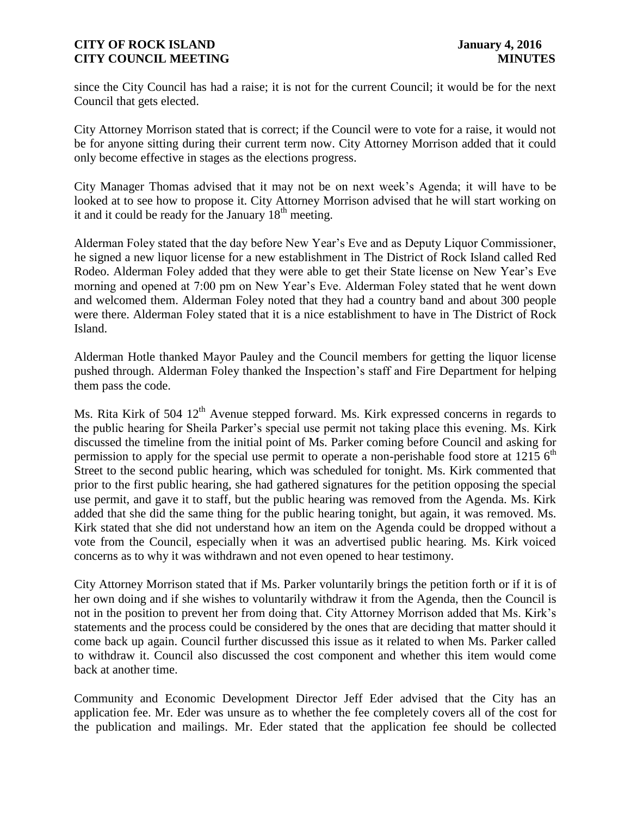since the City Council has had a raise; it is not for the current Council; it would be for the next Council that gets elected.

City Attorney Morrison stated that is correct; if the Council were to vote for a raise, it would not be for anyone sitting during their current term now. City Attorney Morrison added that it could only become effective in stages as the elections progress.

City Manager Thomas advised that it may not be on next week's Agenda; it will have to be looked at to see how to propose it. City Attorney Morrison advised that he will start working on it and it could be ready for the January  $18<sup>th</sup>$  meeting.

Alderman Foley stated that the day before New Year's Eve and as Deputy Liquor Commissioner, he signed a new liquor license for a new establishment in The District of Rock Island called Red Rodeo. Alderman Foley added that they were able to get their State license on New Year's Eve morning and opened at 7:00 pm on New Year's Eve. Alderman Foley stated that he went down and welcomed them. Alderman Foley noted that they had a country band and about 300 people were there. Alderman Foley stated that it is a nice establishment to have in The District of Rock Island.

Alderman Hotle thanked Mayor Pauley and the Council members for getting the liquor license pushed through. Alderman Foley thanked the Inspection's staff and Fire Department for helping them pass the code.

Ms. Rita Kirk of 504  $12<sup>th</sup>$  Avenue stepped forward. Ms. Kirk expressed concerns in regards to the public hearing for Sheila Parker's special use permit not taking place this evening. Ms. Kirk discussed the timeline from the initial point of Ms. Parker coming before Council and asking for permission to apply for the special use permit to operate a non-perishable food store at 1215  $6<sup>th</sup>$ Street to the second public hearing, which was scheduled for tonight. Ms. Kirk commented that prior to the first public hearing, she had gathered signatures for the petition opposing the special use permit, and gave it to staff, but the public hearing was removed from the Agenda. Ms. Kirk added that she did the same thing for the public hearing tonight, but again, it was removed. Ms. Kirk stated that she did not understand how an item on the Agenda could be dropped without a vote from the Council, especially when it was an advertised public hearing. Ms. Kirk voiced concerns as to why it was withdrawn and not even opened to hear testimony.

City Attorney Morrison stated that if Ms. Parker voluntarily brings the petition forth or if it is of her own doing and if she wishes to voluntarily withdraw it from the Agenda, then the Council is not in the position to prevent her from doing that. City Attorney Morrison added that Ms. Kirk's statements and the process could be considered by the ones that are deciding that matter should it come back up again. Council further discussed this issue as it related to when Ms. Parker called to withdraw it. Council also discussed the cost component and whether this item would come back at another time.

Community and Economic Development Director Jeff Eder advised that the City has an application fee. Mr. Eder was unsure as to whether the fee completely covers all of the cost for the publication and mailings. Mr. Eder stated that the application fee should be collected